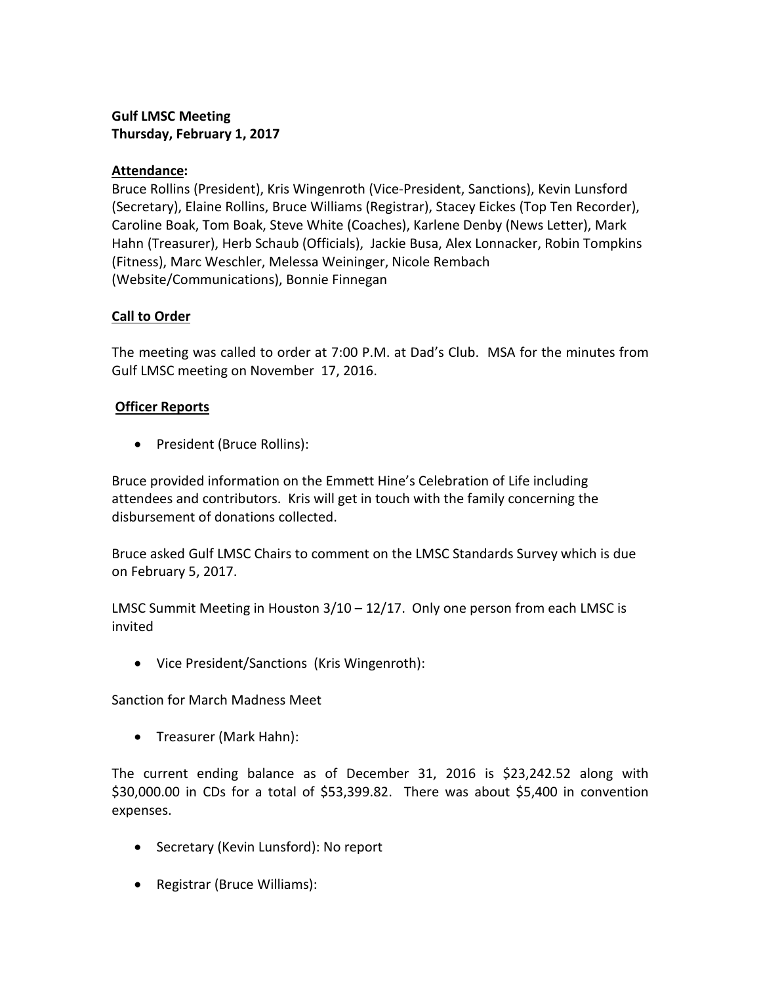# **Gulf LMSC Meeting Thursday, February 1, 2017**

## **Attendance:**

Bruce Rollins (President), Kris Wingenroth (Vice-President, Sanctions), Kevin Lunsford (Secretary), Elaine Rollins, Bruce Williams (Registrar), Stacey Eickes (Top Ten Recorder), Caroline Boak, Tom Boak, Steve White (Coaches), Karlene Denby (News Letter), Mark Hahn (Treasurer), Herb Schaub (Officials), Jackie Busa, Alex Lonnacker, Robin Tompkins (Fitness), Marc Weschler, Melessa Weininger, Nicole Rembach (Website/Communications), Bonnie Finnegan

## **Call to Order**

The meeting was called to order at 7:00 P.M. at Dad's Club. MSA for the minutes from Gulf LMSC meeting on November 17, 2016.

## **Officer Reports**

• President (Bruce Rollins):

Bruce provided information on the Emmett Hine's Celebration of Life including attendees and contributors. Kris will get in touch with the family concerning the disbursement of donations collected.

Bruce asked Gulf LMSC Chairs to comment on the LMSC Standards Survey which is due on February 5, 2017.

LMSC Summit Meeting in Houston 3/10 – 12/17. Only one person from each LMSC is invited

• Vice President/Sanctions (Kris Wingenroth):

Sanction for March Madness Meet

• Treasurer (Mark Hahn):

The current ending balance as of December 31, 2016 is \$23,242.52 along with \$30,000.00 in CDs for a total of \$53,399.82. There was about \$5,400 in convention expenses.

- Secretary (Kevin Lunsford): No report
- Registrar (Bruce Williams):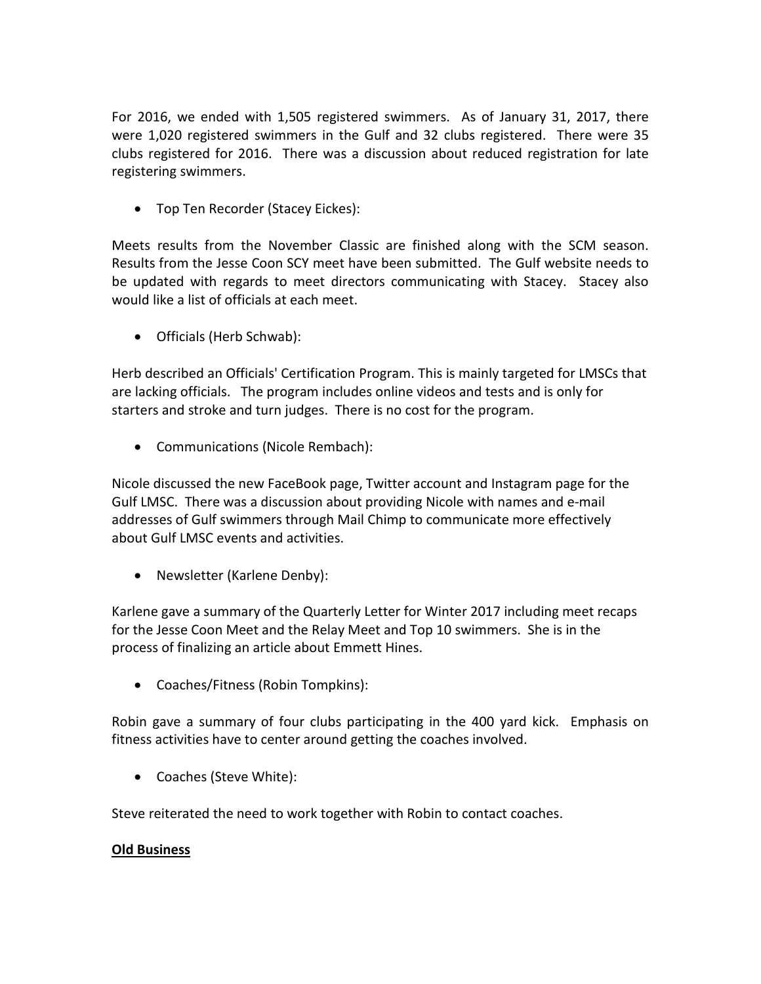For 2016, we ended with 1,505 registered swimmers. As of January 31, 2017, there were 1,020 registered swimmers in the Gulf and 32 clubs registered. There were 35 clubs registered for 2016. There was a discussion about reduced registration for late registering swimmers.

• Top Ten Recorder (Stacey Eickes):

Meets results from the November Classic are finished along with the SCM season. Results from the Jesse Coon SCY meet have been submitted. The Gulf website needs to be updated with regards to meet directors communicating with Stacey. Stacey also would like a list of officials at each meet.

• Officials (Herb Schwab):

Herb described an Officials' Certification Program. This is mainly targeted for LMSCs that are lacking officials. The program includes online videos and tests and is only for starters and stroke and turn judges. There is no cost for the program.

• Communications (Nicole Rembach):

Nicole discussed the new FaceBook page, Twitter account and Instagram page for the Gulf LMSC. There was a discussion about providing Nicole with names and e-mail addresses of Gulf swimmers through Mail Chimp to communicate more effectively about Gulf LMSC events and activities.

• Newsletter (Karlene Denby):

Karlene gave a summary of the Quarterly Letter for Winter 2017 including meet recaps for the Jesse Coon Meet and the Relay Meet and Top 10 swimmers. She is in the process of finalizing an article about Emmett Hines.

• Coaches/Fitness (Robin Tompkins):

Robin gave a summary of four clubs participating in the 400 yard kick. Emphasis on fitness activities have to center around getting the coaches involved.

• Coaches (Steve White):

Steve reiterated the need to work together with Robin to contact coaches.

#### **Old Business**